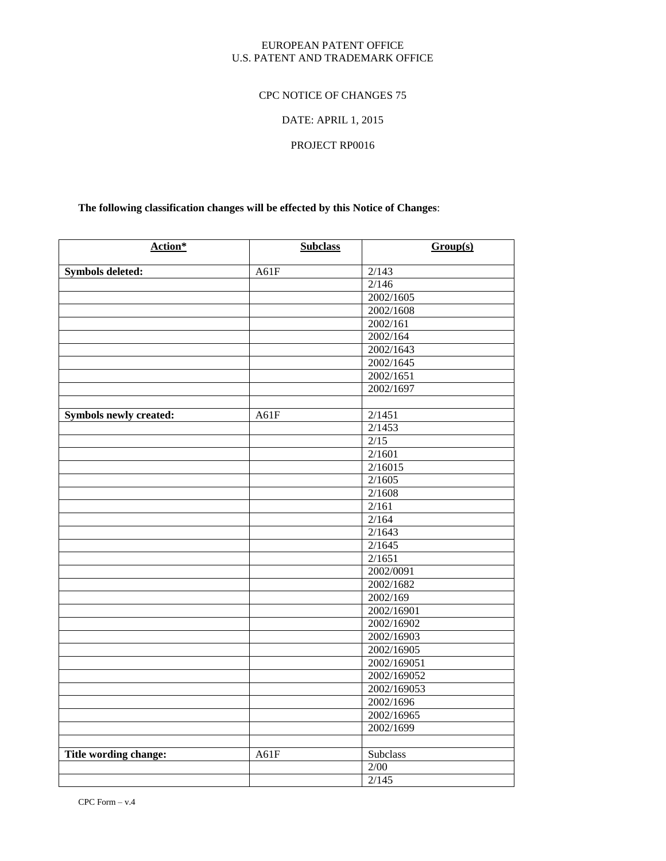## EUROPEAN PATENT OFFICE U.S. PATENT AND TRADEMARK OFFICE

# CPC NOTICE OF CHANGES 75

# DATE: APRIL 1, 2015

# PROJECT RP0016

# **The following classification changes will be effected by this Notice of Changes**:

| Action*                 | <b>Subclass</b> | Group(s)    |
|-------------------------|-----------------|-------------|
| <b>Symbols deleted:</b> | A61F            | 2/143       |
|                         |                 | 2/146       |
|                         |                 | 2002/1605   |
|                         |                 | 2002/1608   |
|                         |                 | 2002/161    |
|                         |                 | 2002/164    |
|                         |                 | 2002/1643   |
|                         |                 | 2002/1645   |
|                         |                 | 2002/1651   |
|                         |                 | 2002/1697   |
|                         |                 |             |
| Symbols newly created:  | A61F            | 2/1451      |
|                         |                 | 2/1453      |
|                         |                 | 2/15        |
|                         |                 | 2/1601      |
|                         |                 | 2/16015     |
|                         |                 | 2/1605      |
|                         |                 | 2/1608      |
|                         |                 | 2/161       |
|                         |                 | 2/164       |
|                         |                 | 2/1643      |
|                         |                 | 2/1645      |
|                         |                 | 2/1651      |
|                         |                 | 2002/0091   |
|                         |                 | 2002/1682   |
|                         |                 | 2002/169    |
|                         |                 | 2002/16901  |
|                         |                 | 2002/16902  |
|                         |                 | 2002/16903  |
|                         |                 | 2002/16905  |
|                         |                 | 2002/169051 |
|                         |                 | 2002/169052 |
|                         |                 | 2002/169053 |
|                         |                 | 2002/1696   |
|                         |                 | 2002/16965  |
|                         |                 | 2002/1699   |
|                         |                 |             |
| Title wording change:   | A61F            | Subclass    |
|                         |                 | 2/00        |
|                         |                 | 2/145       |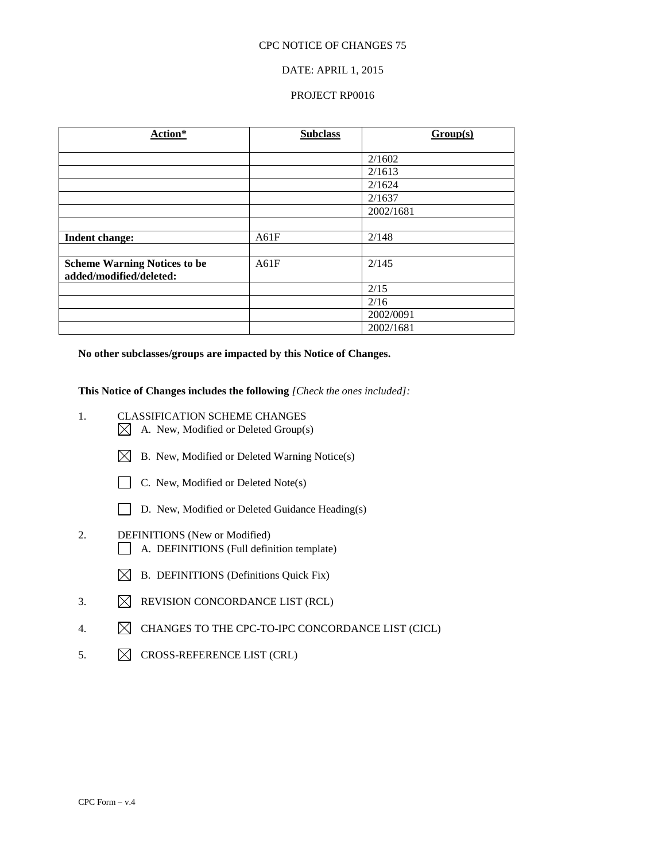## DATE: APRIL 1, 2015

## PROJECT RP0016

| Action*                             | <b>Subclass</b> | Group(s)  |
|-------------------------------------|-----------------|-----------|
|                                     |                 |           |
|                                     |                 | 2/1602    |
|                                     |                 | 2/1613    |
|                                     |                 | 2/1624    |
|                                     |                 | 2/1637    |
|                                     |                 | 2002/1681 |
|                                     |                 |           |
| <b>Indent change:</b>               | A61F            | 2/148     |
|                                     |                 |           |
| <b>Scheme Warning Notices to be</b> | A61F            | 2/145     |
| added/modified/deleted:             |                 |           |
|                                     |                 | 2/15      |
|                                     |                 | 2/16      |
|                                     |                 | 2002/0091 |
|                                     |                 | 2002/1681 |

**No other subclasses/groups are impacted by this Notice of Changes.**

**This Notice of Changes includes the following** *[Check the ones included]:*

- 1. CLASSIFICATION SCHEME CHANGES
	- $\boxtimes$  A. New, Modified or Deleted Group(s)
	- $\boxtimes$  B. New, Modified or Deleted Warning Notice(s)
	- C. New, Modified or Deleted Note(s)
	- D. New, Modified or Deleted Guidance Heading(s)
- 2. DEFINITIONS (New or Modified) A. DEFINITIONS (Full definition template)
	- $\boxtimes$  B. DEFINITIONS (Definitions Quick Fix)
- 3.  $\boxtimes$  REVISION CONCORDANCE LIST (RCL)
- 4.  $\boxtimes$  CHANGES TO THE CPC-TO-IPC CONCORDANCE LIST (CICL)
- 5.  $\boxtimes$  CROSS-REFERENCE LIST (CRL)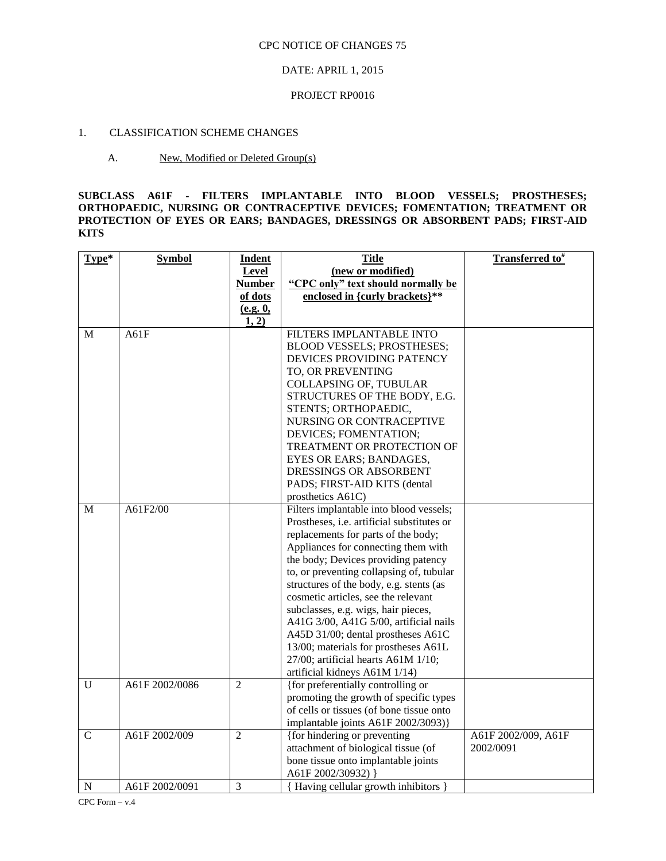## DATE: APRIL 1, 2015

#### PROJECT RP0016

## 1. CLASSIFICATION SCHEME CHANGES

### A. New, Modified or Deleted Group(s)

**SUBCLASS A61F - FILTERS IMPLANTABLE INTO BLOOD VESSELS; PROSTHESES; ORTHOPAEDIC, NURSING OR CONTRACEPTIVE DEVICES; FOMENTATION; TREATMENT OR PROTECTION OF EYES OR EARS; BANDAGES, DRESSINGS OR ABSORBENT PADS; FIRST-AID KITS**

| Type*       | <b>Symbol</b>  | <b>Indent</b>  | <b>Title</b>                                     | Transferred to <sup>#</sup> |
|-------------|----------------|----------------|--------------------------------------------------|-----------------------------|
|             |                | Level          | (new or modified)                                |                             |
|             |                | <b>Number</b>  | "CPC only" text should normally be               |                             |
|             |                | of dots        | enclosed in {curly brackets}**                   |                             |
|             |                | (e.g. 0,       |                                                  |                             |
|             |                | 1, 2)          |                                                  |                             |
| M           | A61F           |                | FILTERS IMPLANTABLE INTO                         |                             |
|             |                |                | BLOOD VESSELS; PROSTHESES;                       |                             |
|             |                |                | DEVICES PROVIDING PATENCY                        |                             |
|             |                |                | TO, OR PREVENTING                                |                             |
|             |                |                | COLLAPSING OF, TUBULAR                           |                             |
|             |                |                | STRUCTURES OF THE BODY, E.G.                     |                             |
|             |                |                | STENTS; ORTHOPAEDIC,                             |                             |
|             |                |                | NURSING OR CONTRACEPTIVE                         |                             |
|             |                |                | DEVICES; FOMENTATION;                            |                             |
|             |                |                | TREATMENT OR PROTECTION OF                       |                             |
|             |                |                | EYES OR EARS; BANDAGES,                          |                             |
|             |                |                | DRESSINGS OR ABSORBENT                           |                             |
|             |                |                | PADS; FIRST-AID KITS (dental                     |                             |
|             |                |                | prosthetics A61C)                                |                             |
| M           | A61F2/00       |                | Filters implantable into blood vessels;          |                             |
|             |                |                | Prostheses, i.e. artificial substitutes or       |                             |
|             |                |                | replacements for parts of the body;              |                             |
|             |                |                | Appliances for connecting them with              |                             |
|             |                |                | the body; Devices providing patency              |                             |
|             |                |                | to, or preventing collapsing of, tubular         |                             |
|             |                |                | structures of the body, e.g. stents (as          |                             |
|             |                |                | cosmetic articles, see the relevant              |                             |
|             |                |                | subclasses, e.g. wigs, hair pieces,              |                             |
|             |                |                | A41G 3/00, A41G 5/00, artificial nails           |                             |
|             |                |                | A45D 31/00; dental prostheses A61C               |                             |
|             |                |                | 13/00; materials for prostheses A61L             |                             |
|             |                |                | 27/00; artificial hearts A61M 1/10;              |                             |
|             |                |                | artificial kidneys A61M 1/14)                    |                             |
| U           | A61F 2002/0086 | $\overline{2}$ | {for preferentially controlling or               |                             |
|             |                |                | promoting the growth of specific types           |                             |
|             |                |                | of cells or tissues (of bone tissue onto         |                             |
|             |                |                | implantable joints A61F 2002/3093)}              |                             |
| $\mathbf C$ | A61F 2002/009  | $\overline{2}$ | {for hindering or preventing                     | A61F 2002/009, A61F         |
|             |                |                | attachment of biological tissue (of<br>2002/0091 |                             |
|             |                |                | bone tissue onto implantable joints              |                             |
|             |                |                | A61F 2002/30932) }                               |                             |
| N           | A61F 2002/0091 | 3              | { Having cellular growth inhibitors }            |                             |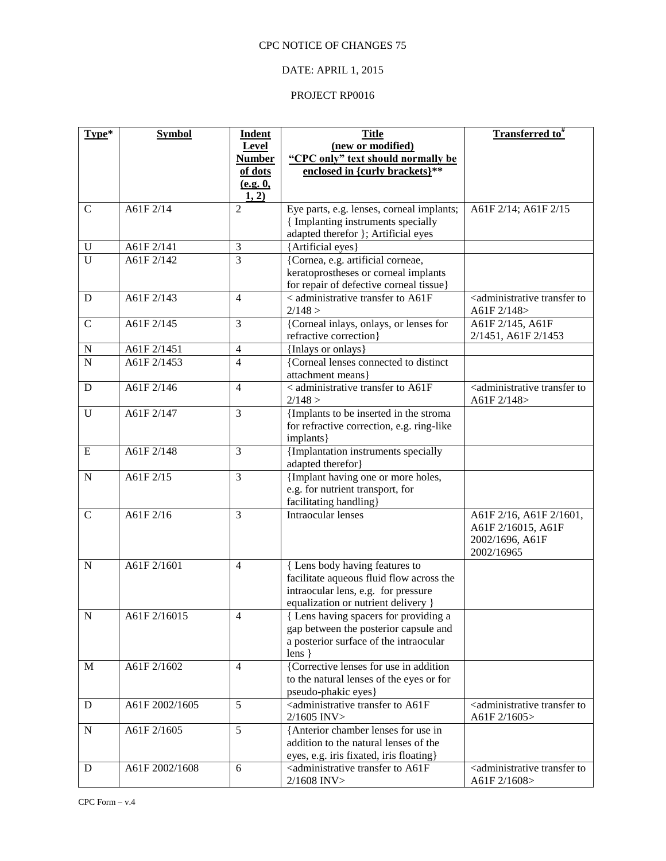# DATE: APRIL 1, 2015

# PROJECT RP0016

| Type*          | <b>Symbol</b>  | <b>Indent</b>  | <b>Title</b>                                                                                                                                                 | <b>Transferred to</b> #                                    |
|----------------|----------------|----------------|--------------------------------------------------------------------------------------------------------------------------------------------------------------|------------------------------------------------------------|
|                |                | Level          | (new or modified)                                                                                                                                            |                                                            |
|                |                | <b>Number</b>  | "CPC only" text should normally be                                                                                                                           |                                                            |
|                |                | of dots        | enclosed in {curly brackets}**                                                                                                                               |                                                            |
|                |                | (e.g. 0,       |                                                                                                                                                              |                                                            |
|                |                | 1, 2)          |                                                                                                                                                              |                                                            |
| $\mathbf C$    | A61F 2/14      | $\overline{2}$ | Eye parts, e.g. lenses, corneal implants;                                                                                                                    | A61F 2/14; A61F 2/15                                       |
|                |                |                | { Implanting instruments specially                                                                                                                           |                                                            |
|                |                |                | adapted therefor }; Artificial eyes                                                                                                                          |                                                            |
| $\mathbf U$    | A61F 2/141     | 3              | {Artificial eyes}                                                                                                                                            |                                                            |
| U              | A61F 2/142     | 3              | {Cornea, e.g. artificial corneae,                                                                                                                            |                                                            |
|                |                |                | keratoprostheses or corneal implants                                                                                                                         |                                                            |
| D              | A61F 2/143     | $\overline{4}$ | for repair of defective corneal tissue}<br>$\alpha$ < administrative transfer to A61F                                                                        | <administrative td="" to<="" transfer=""></administrative> |
|                |                |                | 2/148 >                                                                                                                                                      | A61F 2/148>                                                |
| $\mathbf C$    | A61F 2/145     | 3              | {Corneal inlays, onlays, or lenses for                                                                                                                       | A61F 2/145, A61F                                           |
|                |                |                | refractive correction}                                                                                                                                       | 2/1451, A61F 2/1453                                        |
| N              | A61F 2/1451    | $\overline{4}$ | {Inlays or onlays}                                                                                                                                           |                                                            |
| $\overline{N}$ | A61F 2/1453    | $\overline{4}$ | {Corneal lenses connected to distinct                                                                                                                        |                                                            |
|                |                |                | attachment means}                                                                                                                                            |                                                            |
| D              | A61F 2/146     | $\overline{4}$ | $<$ administrative transfer to A61F                                                                                                                          | <administrative td="" to<="" transfer=""></administrative> |
|                |                |                | 2/148 >                                                                                                                                                      | A61F 2/148>                                                |
| U              | A61F 2/147     | 3              | {Implants to be inserted in the stroma                                                                                                                       |                                                            |
|                |                |                | for refractive correction, e.g. ring-like                                                                                                                    |                                                            |
| E              | A61F 2/148     | 3              | implants}                                                                                                                                                    |                                                            |
|                |                |                | {Implantation instruments specially<br>adapted therefor}                                                                                                     |                                                            |
| ${\bf N}$      | A61F 2/15      | 3              | {Implant having one or more holes,                                                                                                                           |                                                            |
|                |                |                | e.g. for nutrient transport, for                                                                                                                             |                                                            |
|                |                |                | facilitating handling}                                                                                                                                       |                                                            |
| $\mathbf C$    | A61F 2/16      | $\overline{3}$ | Intraocular lenses                                                                                                                                           | A61F 2/16, A61F 2/1601,                                    |
|                |                |                |                                                                                                                                                              | A61F 2/16015, A61F                                         |
|                |                |                |                                                                                                                                                              | 2002/1696, A61F                                            |
|                |                |                |                                                                                                                                                              | 2002/16965                                                 |
| N              | A61F 2/1601    | $\overline{4}$ | { Lens body having features to                                                                                                                               |                                                            |
|                |                |                | facilitate aqueous fluid flow across the                                                                                                                     |                                                            |
|                |                |                | intraocular lens, e.g. for pressure                                                                                                                          |                                                            |
|                |                |                | equalization or nutrient delivery }                                                                                                                          |                                                            |
| N              | A61F 2/16015   | 4              | { Lens having spacers for providing a                                                                                                                        |                                                            |
|                |                |                | gap between the posterior capsule and                                                                                                                        |                                                            |
|                |                |                | a posterior surface of the intraocular                                                                                                                       |                                                            |
|                |                |                | lens                                                                                                                                                         |                                                            |
| M              | A61F 2/1602    | 4              | {Corrective lenses for use in addition                                                                                                                       |                                                            |
|                |                |                | to the natural lenses of the eyes or for                                                                                                                     |                                                            |
|                | A61F 2002/1605 | 5              | pseudo-phakic eyes}<br><administrative a61f<="" td="" to="" transfer=""><td><administrative td="" to<="" transfer=""></administrative></td></administrative> | <administrative td="" to<="" transfer=""></administrative> |
| D              |                |                | 2/1605 INV>                                                                                                                                                  | A61F 2/1605>                                               |
| ${\bf N}$      | A61F 2/1605    | 5              | {Anterior chamber lenses for use in                                                                                                                          |                                                            |
|                |                |                | addition to the natural lenses of the                                                                                                                        |                                                            |
|                |                |                | eyes, e.g. iris fixated, iris floating}                                                                                                                      |                                                            |
| D              | A61F 2002/1608 | 6              | <administrative a61f<="" td="" to="" transfer=""><td><administrative td="" to<="" transfer=""></administrative></td></administrative>                        | <administrative td="" to<="" transfer=""></administrative> |
|                |                |                | 2/1608 INV>                                                                                                                                                  | A61F 2/1608>                                               |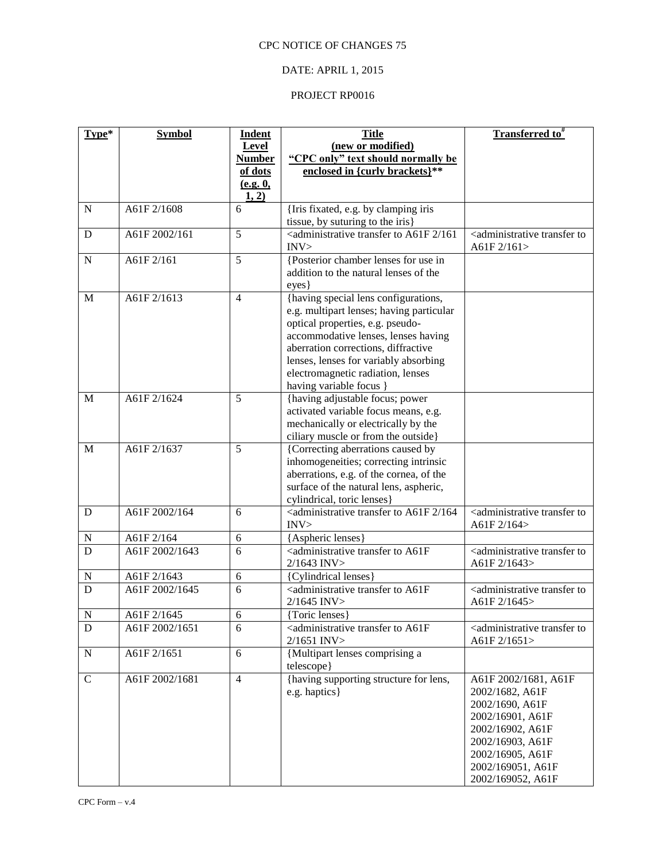# DATE: APRIL 1, 2015

# PROJECT RP0016

| Type*                 | <b>Symbol</b>  | <b>Indent</b>  | <b>Title</b>                                                                                                                                                                    | <b>Transferred to</b> #                                    |
|-----------------------|----------------|----------------|---------------------------------------------------------------------------------------------------------------------------------------------------------------------------------|------------------------------------------------------------|
|                       |                | Level          | (new or modified)                                                                                                                                                               |                                                            |
|                       |                | <b>Number</b>  | "CPC only" text should normally be                                                                                                                                              |                                                            |
|                       |                | of dots        | enclosed in {curly brackets}**                                                                                                                                                  |                                                            |
|                       |                | (e.g. 0,       |                                                                                                                                                                                 |                                                            |
|                       |                | 1, 2)          |                                                                                                                                                                                 |                                                            |
| ${\bf N}$             | A61F 2/1608    | 6              | {Iris fixated, e.g. by clamping iris                                                                                                                                            |                                                            |
|                       |                |                | tissue, by suturing to the iris}                                                                                                                                                |                                                            |
| D                     | A61F 2002/161  | 5              | <administrative 161<="" 2="" a61f="" td="" to="" transfer=""><td><administrative td="" to<="" transfer=""></administrative></td></administrative>                               | <administrative td="" to<="" transfer=""></administrative> |
|                       |                |                | INV                                                                                                                                                                             | A61F 2/161>                                                |
| ${\bf N}$             | A61F 2/161     | 5              | {Posterior chamber lenses for use in                                                                                                                                            |                                                            |
|                       |                |                | addition to the natural lenses of the                                                                                                                                           |                                                            |
|                       |                |                | $eyes$ }                                                                                                                                                                        |                                                            |
| M                     | A61F 2/1613    | $\overline{4}$ | {having special lens configurations,                                                                                                                                            |                                                            |
|                       |                |                | e.g. multipart lenses; having particular                                                                                                                                        |                                                            |
|                       |                |                | optical properties, e.g. pseudo-                                                                                                                                                |                                                            |
|                       |                |                | accommodative lenses, lenses having                                                                                                                                             |                                                            |
|                       |                |                | aberration corrections, diffractive                                                                                                                                             |                                                            |
|                       |                |                | lenses, lenses for variably absorbing                                                                                                                                           |                                                            |
|                       |                |                | electromagnetic radiation, lenses                                                                                                                                               |                                                            |
|                       |                |                | having variable focus ]                                                                                                                                                         |                                                            |
| M                     | A61F 2/1624    | 5              | {having adjustable focus; power                                                                                                                                                 |                                                            |
|                       |                |                | activated variable focus means, e.g.                                                                                                                                            |                                                            |
|                       |                |                | mechanically or electrically by the                                                                                                                                             |                                                            |
|                       |                |                | ciliary muscle or from the outside}                                                                                                                                             |                                                            |
| M                     | A61F 2/1637    | 5              | {Correcting aberrations caused by                                                                                                                                               |                                                            |
|                       |                |                | inhomogeneities; correcting intrinsic                                                                                                                                           |                                                            |
|                       |                |                | aberrations, e.g. of the cornea, of the                                                                                                                                         |                                                            |
|                       |                |                | surface of the natural lens, aspheric,                                                                                                                                          |                                                            |
| ${\bf D}$             | A61F 2002/164  | 6              | cylindrical, toric lenses}<br><administrative 164<="" 2="" a61f="" td="" to="" transfer=""><td><administrative td="" to<="" transfer=""></administrative></td></administrative> | <administrative td="" to<="" transfer=""></administrative> |
|                       |                |                | INV                                                                                                                                                                             | A61F 2/164>                                                |
| N                     | A61F 2/164     | 6              | {Aspheric lenses}                                                                                                                                                               |                                                            |
| $\mathbf D$           | A61F 2002/1643 | 6              | <administrative a61f<="" td="" to="" transfer=""><td><administrative td="" to<="" transfer=""></administrative></td></administrative>                                           | <administrative td="" to<="" transfer=""></administrative> |
|                       |                |                | 2/1643 INV>                                                                                                                                                                     | A61F 2/1643>                                               |
| N                     | A61F 2/1643    | $6\,$          | {Cylindrical lenses}                                                                                                                                                            |                                                            |
| D                     | A61F 2002/1645 | 6              | <administrative a61f<="" td="" to="" transfer=""><td><administrative td="" to<="" transfer=""></administrative></td></administrative>                                           | <administrative td="" to<="" transfer=""></administrative> |
|                       |                |                | $2/1645$ INV $>$                                                                                                                                                                | A61F 2/1645>                                               |
| $\overline{\text{N}}$ | A61F 2/1645    | 6              | {Toric lenses}                                                                                                                                                                  |                                                            |
| D                     | A61F 2002/1651 | 6              | <administrative a61f<="" td="" to="" transfer=""><td><administrative td="" to<="" transfer=""></administrative></td></administrative>                                           | <administrative td="" to<="" transfer=""></administrative> |
|                       |                |                | 2/1651 INV>                                                                                                                                                                     | A61F 2/1651>                                               |
| ${\bf N}$             | A61F 2/1651    | 6              | {Multipart lenses comprising a                                                                                                                                                  |                                                            |
|                       |                |                | telescope}                                                                                                                                                                      |                                                            |
| $\mathbf C$           | A61F 2002/1681 | $\overline{4}$ | {having supporting structure for lens,                                                                                                                                          | A61F 2002/1681, A61F                                       |
|                       |                |                | e.g. haptics }                                                                                                                                                                  | 2002/1682, A61F                                            |
|                       |                |                |                                                                                                                                                                                 | 2002/1690, A61F                                            |
|                       |                |                |                                                                                                                                                                                 | 2002/16901, A61F                                           |
|                       |                |                |                                                                                                                                                                                 | 2002/16902, A61F                                           |
|                       |                |                |                                                                                                                                                                                 | 2002/16903, A61F                                           |
|                       |                |                |                                                                                                                                                                                 | 2002/16905, A61F                                           |
|                       |                |                |                                                                                                                                                                                 | 2002/169051, A61F                                          |
|                       |                |                |                                                                                                                                                                                 | 2002/169052, A61F                                          |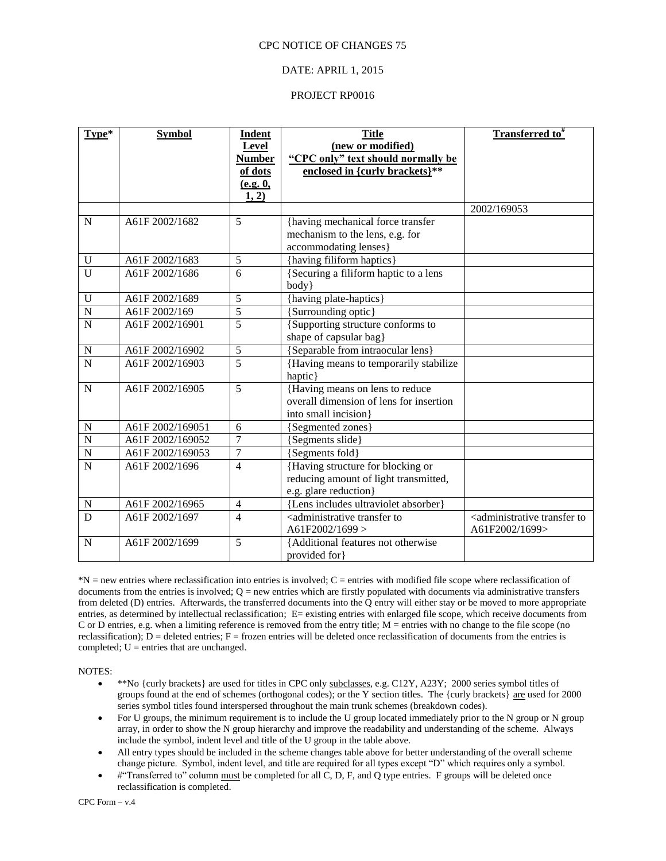## DATE: APRIL 1, 2015

### PROJECT RP0016

| Type*          | <b>Symbol</b>    | Indent<br><b>Level</b><br><b>Number</b><br>of dots<br>(e.g. 0,<br>1, 2) | <b>Title</b><br>(new or modified)<br>"CPC only" text should normally be<br>enclosed in {curly brackets}** | <b>Transferred</b> to <sup>#</sup>                                      |
|----------------|------------------|-------------------------------------------------------------------------|-----------------------------------------------------------------------------------------------------------|-------------------------------------------------------------------------|
|                |                  |                                                                         |                                                                                                           | 2002/169053                                                             |
| N              | A61F 2002/1682   | 5                                                                       | {having mechanical force transfer<br>mechanism to the lens, e.g. for<br>accommodating lenses}             |                                                                         |
| U              | A61F 2002/1683   | 5                                                                       | {having filiform haptics}                                                                                 |                                                                         |
| $\overline{U}$ | A61F 2002/1686   | 6                                                                       | {Securing a filiform haptic to a lens<br>body}                                                            |                                                                         |
| U              | A61F 2002/1689   | 5                                                                       | {having plate-haptics}                                                                                    |                                                                         |
| $\overline{N}$ | A61F 2002/169    | $\overline{5}$                                                          | {Surrounding optic}                                                                                       |                                                                         |
| $\overline{N}$ | A61F 2002/16901  | $\overline{5}$                                                          | {Supporting structure conforms to<br>shape of capsular bag}                                               |                                                                         |
| ${\bf N}$      | A61F 2002/16902  | 5                                                                       | {Separable from intraocular lens}                                                                         |                                                                         |
| $\overline{N}$ | A61F 2002/16903  | 5                                                                       | {Having means to temporarily stabilize<br>haptic }                                                        |                                                                         |
| N              | A61F 2002/16905  | 5                                                                       | {Having means on lens to reduce<br>overall dimension of lens for insertion<br>into small incision}        |                                                                         |
| $\mathbf N$    | A61F 2002/169051 | 6                                                                       | {Segmented zones}                                                                                         |                                                                         |
| $\mathbf N$    | A61F 2002/169052 | 7                                                                       | {Segments slide}                                                                                          |                                                                         |
| $\overline{N}$ | A61F 2002/169053 | $\overline{7}$                                                          | {Segments fold}                                                                                           |                                                                         |
| $\overline{N}$ | A61F 2002/1696   | $\overline{4}$                                                          | {Having structure for blocking or<br>reducing amount of light transmitted,<br>e.g. glare reduction}       |                                                                         |
| ${\bf N}$      | A61F 2002/16965  | $\overline{4}$                                                          | {Lens includes ultraviolet absorber}                                                                      |                                                                         |
| $\overline{D}$ | A61F 2002/1697   | $\overline{4}$                                                          | <administrative to<br="" transfer="">A61F2002/1699 &gt;</administrative>                                  | <administrative to<br="" transfer="">A61F2002/1699&gt;</administrative> |
| N              | A61F 2002/1699   | 5                                                                       | {Additional features not otherwise<br>provided for                                                        |                                                                         |

\*N = new entries where reclassification into entries is involved; C = entries with modified file scope where reclassification of documents from the entries is involved;  $Q = new$  entries which are firstly populated with documents via administrative transfers from deleted (D) entries. Afterwards, the transferred documents into the Q entry will either stay or be moved to more appropriate entries, as determined by intellectual reclassification; E= existing entries with enlarged file scope, which receive documents from C or D entries, e.g. when a limiting reference is removed from the entry title; M = entries with no change to the file scope (no reclassification);  $D =$  deleted entries;  $F =$  frozen entries will be deleted once reclassification of documents from the entries is completed;  $U =$  entries that are unchanged.

- \*\*No {curly brackets} are used for titles in CPC only subclasses, e.g. C12Y, A23Y; 2000 series symbol titles of groups found at the end of schemes (orthogonal codes); or the Y section titles. The {curly brackets} are used for 2000 series symbol titles found interspersed throughout the main trunk schemes (breakdown codes).
- For U groups, the minimum requirement is to include the U group located immediately prior to the N group or N group array, in order to show the N group hierarchy and improve the readability and understanding of the scheme. Always include the symbol, indent level and title of the U group in the table above.
- All entry types should be included in the scheme changes table above for better understanding of the overall scheme change picture. Symbol, indent level, and title are required for all types except "D" which requires only a symbol.
- #"Transferred to" column must be completed for all C, D, F, and Q type entries. F groups will be deleted once reclassification is completed.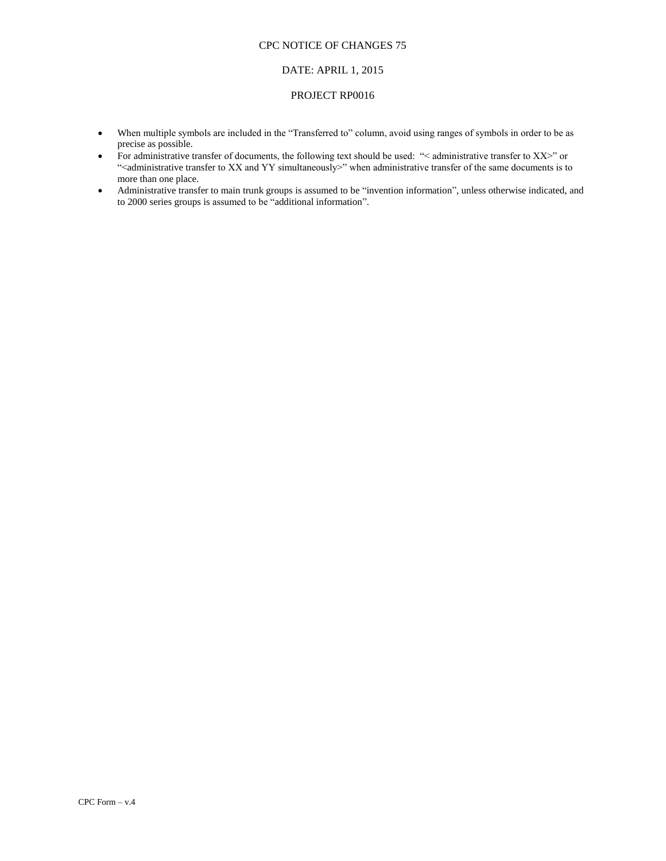### DATE: APRIL 1, 2015

#### PROJECT RP0016

- When multiple symbols are included in the "Transferred to" column, avoid using ranges of symbols in order to be as precise as possible.
- For administrative transfer of documents, the following text should be used: "< administrative transfer to XX>" or "<administrative transfer to XX and YY simultaneously>" when administrative transfer of the same documents is to more than one place.
- Administrative transfer to main trunk groups is assumed to be "invention information", unless otherwise indicated, and to 2000 series groups is assumed to be "additional information".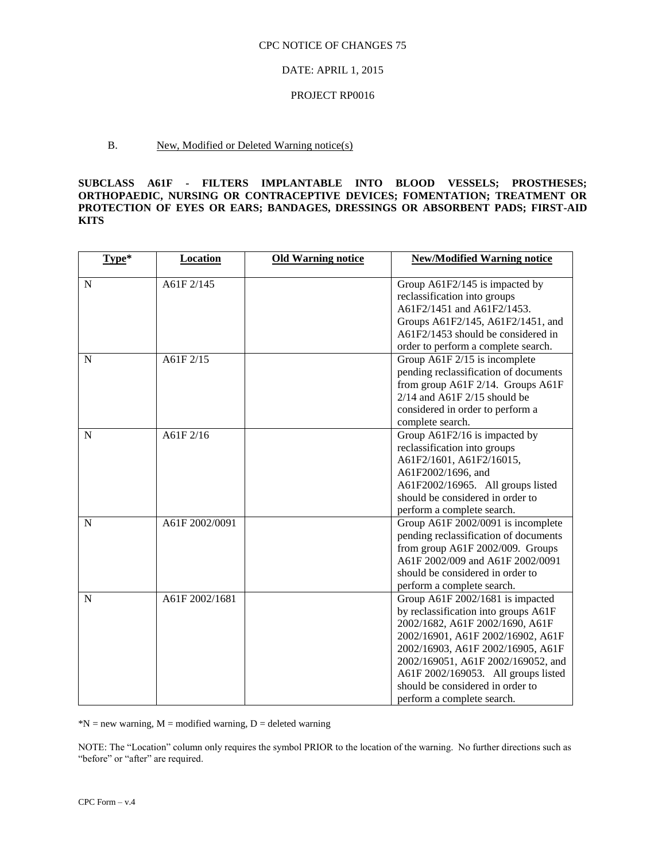### DATE: APRIL 1, 2015

### PROJECT RP0016

## B. New, Modified or Deleted Warning notice(s)

**SUBCLASS A61F - FILTERS IMPLANTABLE INTO BLOOD VESSELS; PROSTHESES; ORTHOPAEDIC, NURSING OR CONTRACEPTIVE DEVICES; FOMENTATION; TREATMENT OR PROTECTION OF EYES OR EARS; BANDAGES, DRESSINGS OR ABSORBENT PADS; FIRST-AID KITS**

| Type*       | Location       | <b>Old Warning notice</b> | <b>New/Modified Warning notice</b>                             |
|-------------|----------------|---------------------------|----------------------------------------------------------------|
| N           | A61F 2/145     |                           | Group A61F2/145 is impacted by<br>reclassification into groups |
|             |                |                           | A61F2/1451 and A61F2/1453.                                     |
|             |                |                           | Groups A61F2/145, A61F2/1451, and                              |
|             |                |                           | A61F2/1453 should be considered in                             |
|             |                |                           | order to perform a complete search.                            |
| $\mathbf N$ | A61F 2/15      |                           | Group A61F 2/15 is incomplete                                  |
|             |                |                           | pending reclassification of documents                          |
|             |                |                           | from group A61F 2/14. Groups A61F                              |
|             |                |                           | $2/14$ and A61F $2/15$ should be                               |
|             |                |                           | considered in order to perform a                               |
|             |                |                           | complete search.                                               |
| N           | A61F 2/16      |                           | Group A61F2/16 is impacted by                                  |
|             |                |                           | reclassification into groups                                   |
|             |                |                           | A61F2/1601, A61F2/16015,                                       |
|             |                |                           | A61F2002/1696, and                                             |
|             |                |                           | A61F2002/16965. All groups listed                              |
|             |                |                           | should be considered in order to                               |
|             |                |                           | perform a complete search.                                     |
| N           | A61F 2002/0091 |                           | Group A61F 2002/0091 is incomplete                             |
|             |                |                           | pending reclassification of documents                          |
|             |                |                           | from group A61F 2002/009. Groups                               |
|             |                |                           | A61F 2002/009 and A61F 2002/0091                               |
|             |                |                           | should be considered in order to                               |
|             |                |                           | perform a complete search.                                     |
| $\mathbf N$ | A61F 2002/1681 |                           | Group A61F 2002/1681 is impacted                               |
|             |                |                           | by reclassification into groups A61F                           |
|             |                |                           | 2002/1682, A61F 2002/1690, A61F                                |
|             |                |                           | 2002/16901, A61F 2002/16902, A61F                              |
|             |                |                           | 2002/16903, A61F 2002/16905, A61F                              |
|             |                |                           | 2002/169051, A61F 2002/169052, and                             |
|             |                |                           | A61F 2002/169053. All groups listed                            |
|             |                |                           | should be considered in order to                               |
|             |                |                           | perform a complete search.                                     |

 $*N$  = new warning,  $M$  = modified warning,  $D$  = deleted warning

NOTE: The "Location" column only requires the symbol PRIOR to the location of the warning. No further directions such as "before" or "after" are required.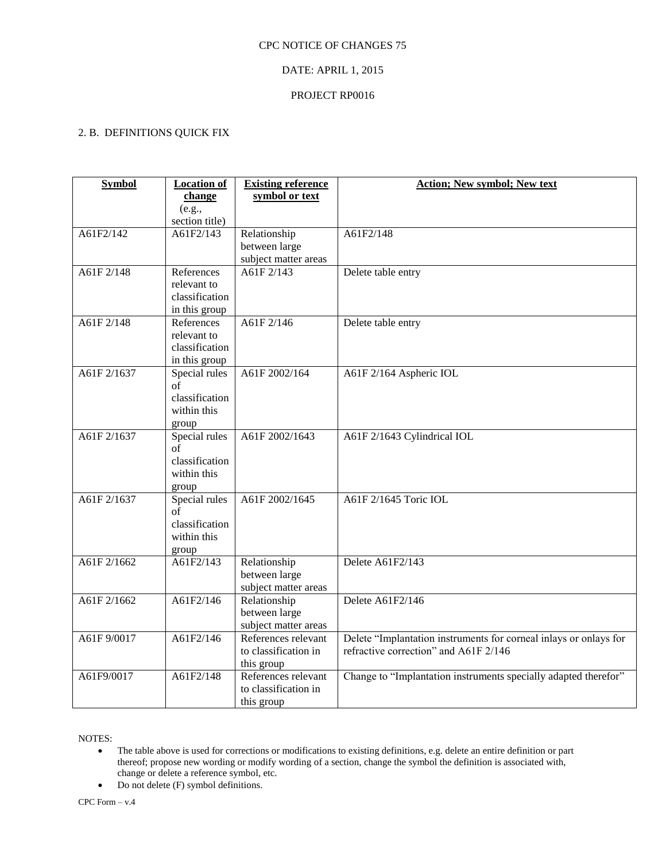## DATE: APRIL 1, 2015

### PROJECT RP0016

# 2. B. DEFINITIONS QUICK FIX

| <b>Symbol</b> | <b>Location of</b> | <b>Existing reference</b> | <b>Action; New symbol; New text</b>                               |
|---------------|--------------------|---------------------------|-------------------------------------------------------------------|
|               | change             | symbol or text            |                                                                   |
|               | (e.g.,             |                           |                                                                   |
|               | section title)     |                           |                                                                   |
| A61F2/142     | A61F2/143          | Relationship              | A61F2/148                                                         |
|               |                    | between large             |                                                                   |
|               |                    | subject matter areas      |                                                                   |
| A61F 2/148    | References         | A61F 2/143                | Delete table entry                                                |
|               | relevant to        |                           |                                                                   |
|               | classification     |                           |                                                                   |
|               | in this group      |                           |                                                                   |
| A61F 2/148    | References         | A61F 2/146                | Delete table entry                                                |
|               | relevant to        |                           |                                                                   |
|               | classification     |                           |                                                                   |
|               | in this group      |                           |                                                                   |
| A61F 2/1637   | Special rules      | A61F 2002/164             | A61F 2/164 Aspheric IOL                                           |
|               | of                 |                           |                                                                   |
|               | classification     |                           |                                                                   |
|               | within this        |                           |                                                                   |
|               | group              |                           |                                                                   |
| A61F 2/1637   | Special rules      | A61F 2002/1643            | A61F 2/1643 Cylindrical IOL                                       |
|               | of                 |                           |                                                                   |
|               | classification     |                           |                                                                   |
|               | within this        |                           |                                                                   |
|               | group              |                           |                                                                   |
| A61F 2/1637   | Special rules      | A61F 2002/1645            | A61F 2/1645 Toric IOL                                             |
|               | of                 |                           |                                                                   |
|               | classification     |                           |                                                                   |
|               | within this        |                           |                                                                   |
|               | group              |                           |                                                                   |
| A61F 2/1662   | A61F2/143          | Relationship              | Delete A61F2/143                                                  |
|               |                    | between large             |                                                                   |
|               |                    | subject matter areas      |                                                                   |
| A61F 2/1662   | A61F2/146          | Relationship              | Delete A61F2/146                                                  |
|               |                    | between large             |                                                                   |
|               |                    | subject matter areas      |                                                                   |
| A61F 9/0017   | A61F2/146          | References relevant       | Delete "Implantation instruments for corneal inlays or onlays for |
|               |                    | to classification in      | refractive correction" and A61F 2/146                             |
|               |                    | this group                |                                                                   |
| A61F9/0017    | A61F2/148          | References relevant       | Change to "Implantation instruments specially adapted therefor"   |
|               |                    | to classification in      |                                                                   |
|               |                    | this group                |                                                                   |

- The table above is used for corrections or modifications to existing definitions, e.g. delete an entire definition or part thereof; propose new wording or modify wording of a section, change the symbol the definition is associated with, change or delete a reference symbol, etc.
- Do not delete (F) symbol definitions.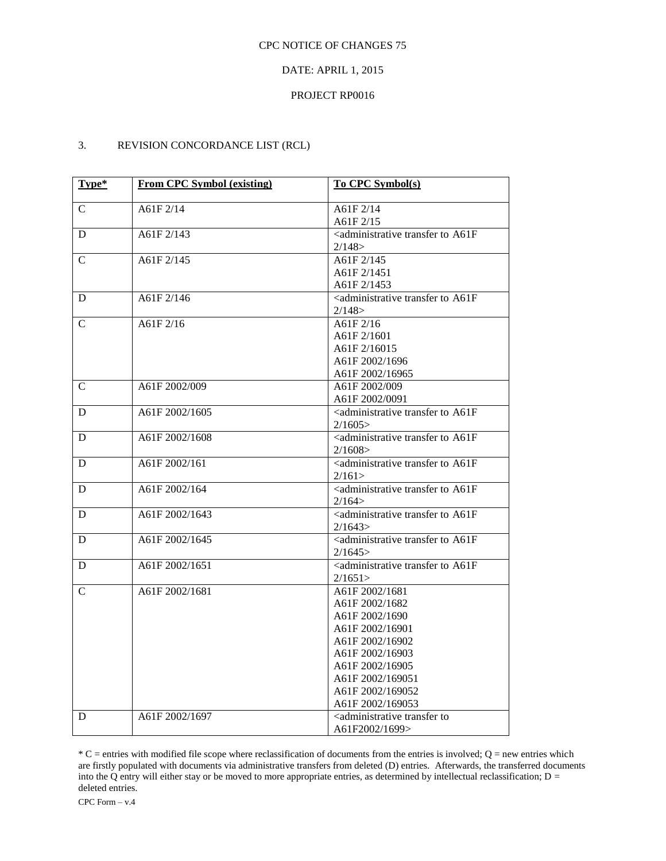## DATE: APRIL 1, 2015

### PROJECT RP0016

## 3. REVISION CONCORDANCE LIST (RCL)

| Type*                            | <b>From CPC Symbol (existing)</b>                                                                                        | To CPC Symbol(s)                                                                                                                                                                                                                                                                                                                                                                                                                                                                                                                                                                                                                                 |
|----------------------------------|--------------------------------------------------------------------------------------------------------------------------|--------------------------------------------------------------------------------------------------------------------------------------------------------------------------------------------------------------------------------------------------------------------------------------------------------------------------------------------------------------------------------------------------------------------------------------------------------------------------------------------------------------------------------------------------------------------------------------------------------------------------------------------------|
| $\overline{C}$                   | A61F 2/14                                                                                                                | A61F 2/14                                                                                                                                                                                                                                                                                                                                                                                                                                                                                                                                                                                                                                        |
|                                  |                                                                                                                          | A61F 2/15                                                                                                                                                                                                                                                                                                                                                                                                                                                                                                                                                                                                                                        |
| D                                | A61F 2/143                                                                                                               | <administrative a61f<="" td="" to="" transfer=""></administrative>                                                                                                                                                                                                                                                                                                                                                                                                                                                                                                                                                                               |
|                                  |                                                                                                                          | 2/148                                                                                                                                                                                                                                                                                                                                                                                                                                                                                                                                                                                                                                            |
| $\mathcal{C}$                    | A61F 2/145                                                                                                               | A61F 2/145                                                                                                                                                                                                                                                                                                                                                                                                                                                                                                                                                                                                                                       |
|                                  |                                                                                                                          | A61F 2/1451                                                                                                                                                                                                                                                                                                                                                                                                                                                                                                                                                                                                                                      |
|                                  |                                                                                                                          | A61F 2/1453                                                                                                                                                                                                                                                                                                                                                                                                                                                                                                                                                                                                                                      |
| D                                | A61F 2/146                                                                                                               | <administrative a61f<="" td="" to="" transfer=""></administrative>                                                                                                                                                                                                                                                                                                                                                                                                                                                                                                                                                                               |
|                                  |                                                                                                                          | 2/148                                                                                                                                                                                                                                                                                                                                                                                                                                                                                                                                                                                                                                            |
| $\mathbf C$                      | A61F 2/16                                                                                                                | A61F 2/16                                                                                                                                                                                                                                                                                                                                                                                                                                                                                                                                                                                                                                        |
|                                  |                                                                                                                          | A61F 2/1601                                                                                                                                                                                                                                                                                                                                                                                                                                                                                                                                                                                                                                      |
|                                  |                                                                                                                          | A61F 2/16015                                                                                                                                                                                                                                                                                                                                                                                                                                                                                                                                                                                                                                     |
|                                  |                                                                                                                          | A61F 2002/1696                                                                                                                                                                                                                                                                                                                                                                                                                                                                                                                                                                                                                                   |
|                                  |                                                                                                                          | A61F 2002/16965                                                                                                                                                                                                                                                                                                                                                                                                                                                                                                                                                                                                                                  |
| $\mathcal{C}$                    | A61F 2002/009                                                                                                            | A61F 2002/009                                                                                                                                                                                                                                                                                                                                                                                                                                                                                                                                                                                                                                    |
|                                  |                                                                                                                          | A61F 2002/0091                                                                                                                                                                                                                                                                                                                                                                                                                                                                                                                                                                                                                                   |
| D                                | A61F 2002/1605                                                                                                           | $\alpha$ <administrative a61f<="" td="" to="" transfer=""></administrative>                                                                                                                                                                                                                                                                                                                                                                                                                                                                                                                                                                      |
|                                  |                                                                                                                          | 2/1605                                                                                                                                                                                                                                                                                                                                                                                                                                                                                                                                                                                                                                           |
| D                                | A61F 2002/1608                                                                                                           | <administrative a61f<="" td="" to="" transfer=""></administrative>                                                                                                                                                                                                                                                                                                                                                                                                                                                                                                                                                                               |
|                                  |                                                                                                                          | 2/1608                                                                                                                                                                                                                                                                                                                                                                                                                                                                                                                                                                                                                                           |
| D                                |                                                                                                                          |                                                                                                                                                                                                                                                                                                                                                                                                                                                                                                                                                                                                                                                  |
|                                  |                                                                                                                          | 2/161                                                                                                                                                                                                                                                                                                                                                                                                                                                                                                                                                                                                                                            |
| D                                |                                                                                                                          |                                                                                                                                                                                                                                                                                                                                                                                                                                                                                                                                                                                                                                                  |
|                                  |                                                                                                                          |                                                                                                                                                                                                                                                                                                                                                                                                                                                                                                                                                                                                                                                  |
|                                  |                                                                                                                          |                                                                                                                                                                                                                                                                                                                                                                                                                                                                                                                                                                                                                                                  |
|                                  |                                                                                                                          |                                                                                                                                                                                                                                                                                                                                                                                                                                                                                                                                                                                                                                                  |
|                                  |                                                                                                                          |                                                                                                                                                                                                                                                                                                                                                                                                                                                                                                                                                                                                                                                  |
|                                  |                                                                                                                          |                                                                                                                                                                                                                                                                                                                                                                                                                                                                                                                                                                                                                                                  |
|                                  |                                                                                                                          |                                                                                                                                                                                                                                                                                                                                                                                                                                                                                                                                                                                                                                                  |
|                                  |                                                                                                                          |                                                                                                                                                                                                                                                                                                                                                                                                                                                                                                                                                                                                                                                  |
|                                  |                                                                                                                          |                                                                                                                                                                                                                                                                                                                                                                                                                                                                                                                                                                                                                                                  |
|                                  |                                                                                                                          |                                                                                                                                                                                                                                                                                                                                                                                                                                                                                                                                                                                                                                                  |
|                                  |                                                                                                                          |                                                                                                                                                                                                                                                                                                                                                                                                                                                                                                                                                                                                                                                  |
|                                  |                                                                                                                          |                                                                                                                                                                                                                                                                                                                                                                                                                                                                                                                                                                                                                                                  |
|                                  |                                                                                                                          |                                                                                                                                                                                                                                                                                                                                                                                                                                                                                                                                                                                                                                                  |
|                                  |                                                                                                                          |                                                                                                                                                                                                                                                                                                                                                                                                                                                                                                                                                                                                                                                  |
|                                  |                                                                                                                          |                                                                                                                                                                                                                                                                                                                                                                                                                                                                                                                                                                                                                                                  |
|                                  |                                                                                                                          |                                                                                                                                                                                                                                                                                                                                                                                                                                                                                                                                                                                                                                                  |
|                                  |                                                                                                                          |                                                                                                                                                                                                                                                                                                                                                                                                                                                                                                                                                                                                                                                  |
|                                  |                                                                                                                          |                                                                                                                                                                                                                                                                                                                                                                                                                                                                                                                                                                                                                                                  |
|                                  |                                                                                                                          |                                                                                                                                                                                                                                                                                                                                                                                                                                                                                                                                                                                                                                                  |
| D<br>D<br>D<br>$\mathsf{C}$<br>D | A61F 2002/161<br>A61F 2002/164<br>A61F 2002/1643<br>A61F 2002/1645<br>A61F 2002/1651<br>A61F 2002/1681<br>A61F 2002/1697 | <administrative a61f<br="" to="" transfer=""><administrative a61f<br="" to="" transfer="">2/164<br/><administrative a61f<br="" to="" transfer="">2/1643<br/><administrative a61f<br="" to="" transfer="">2/1645<br/><administrative a61f<br="" to="" transfer="">2/1651<br/>A61F 2002/1681<br/>A61F 2002/1682<br/>A61F 2002/1690<br/>A61F 2002/16901<br/>A61F 2002/16902<br/>A61F 2002/16903<br/>A61F 2002/16905<br/>A61F 2002/169051<br/>A61F 2002/169052<br/>A61F 2002/169053<br/><administrative to<br="" transfer="">A61F2002/1699&gt;</administrative></administrative></administrative></administrative></administrative></administrative> |

 $*C$  = entries with modified file scope where reclassification of documents from the entries is involved;  $Q$  = new entries which are firstly populated with documents via administrative transfers from deleted (D) entries. Afterwards, the transferred documents into the  $Q$  entry will either stay or be moved to more appropriate entries, as determined by intellectual reclassification;  $D =$ deleted entries.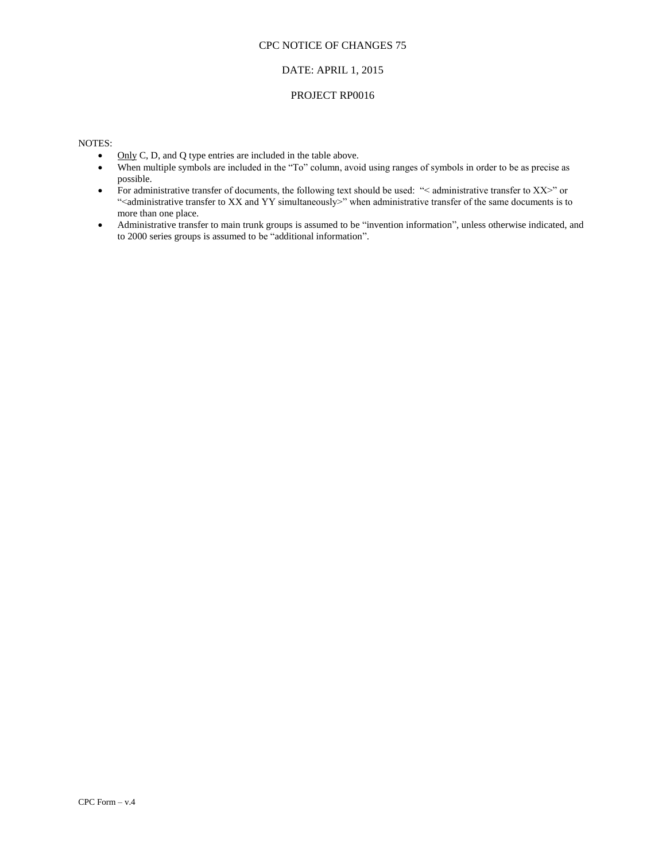### DATE: APRIL 1, 2015

#### PROJECT RP0016

- $\bullet$  Only C, D, and Q type entries are included in the table above.
- When multiple symbols are included in the "To" column, avoid using ranges of symbols in order to be as precise as possible.
- For administrative transfer of documents, the following text should be used: "< administrative transfer to XX>" or "<administrative transfer to XX and YY simultaneously>" when administrative transfer of the same documents is to more than one place.
- Administrative transfer to main trunk groups is assumed to be "invention information", unless otherwise indicated, and to 2000 series groups is assumed to be "additional information".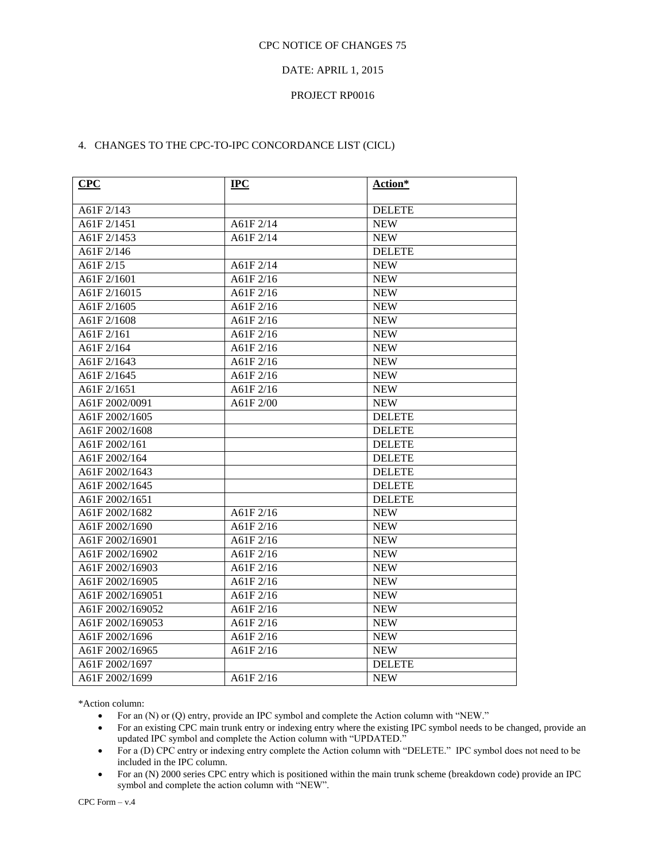## DATE: APRIL 1, 2015

## PROJECT RP0016

# 4. CHANGES TO THE CPC-TO-IPC CONCORDANCE LIST (CICL)

| CPC              | <b>IPC</b> | Action*       |
|------------------|------------|---------------|
|                  |            |               |
| A61F 2/143       |            | <b>DELETE</b> |
| A61F 2/1451      | A61F 2/14  | <b>NEW</b>    |
| A61F 2/1453      | A61F 2/14  | <b>NEW</b>    |
| A61F 2/146       |            | <b>DELETE</b> |
| A61F 2/15        | A61F 2/14  | <b>NEW</b>    |
| A61F 2/1601      | A61F 2/16  | <b>NEW</b>    |
| A61F 2/16015     | A61F 2/16  | <b>NEW</b>    |
| A61F 2/1605      | A61F 2/16  | <b>NEW</b>    |
| A61F 2/1608      | A61F 2/16  | <b>NEW</b>    |
| A61F 2/161       | A61F 2/16  | <b>NEW</b>    |
| A61F 2/164       | A61F 2/16  | <b>NEW</b>    |
| A61F 2/1643      | A61F 2/16  | <b>NEW</b>    |
| A61F 2/1645      | A61F 2/16  | <b>NEW</b>    |
| A61F 2/1651      | A61F 2/16  | <b>NEW</b>    |
| A61F 2002/0091   | A61F 2/00  | <b>NEW</b>    |
| A61F 2002/1605   |            | <b>DELETE</b> |
| A61F 2002/1608   |            | <b>DELETE</b> |
| A61F 2002/161    |            | <b>DELETE</b> |
| A61F 2002/164    |            | <b>DELETE</b> |
| A61F 2002/1643   |            | <b>DELETE</b> |
| A61F 2002/1645   |            | <b>DELETE</b> |
| A61F 2002/1651   |            | <b>DELETE</b> |
| A61F 2002/1682   | A61F 2/16  | <b>NEW</b>    |
| A61F 2002/1690   | A61F 2/16  | <b>NEW</b>    |
| A61F 2002/16901  | A61F 2/16  | <b>NEW</b>    |
| A61F 2002/16902  | A61F 2/16  | <b>NEW</b>    |
| A61F 2002/16903  | A61F 2/16  | <b>NEW</b>    |
| A61F 2002/16905  | A61F 2/16  | <b>NEW</b>    |
| A61F 2002/169051 | A61F 2/16  | <b>NEW</b>    |
| A61F 2002/169052 | A61F 2/16  | <b>NEW</b>    |
| A61F 2002/169053 | A61F 2/16  | <b>NEW</b>    |
| A61F 2002/1696   | A61F 2/16  | <b>NEW</b>    |
| A61F 2002/16965  | A61F 2/16  | <b>NEW</b>    |
| A61F 2002/1697   |            | <b>DELETE</b> |
| A61F 2002/1699   | A61F 2/16  | <b>NEW</b>    |

\*Action column:

- For an (N) or (Q) entry, provide an IPC symbol and complete the Action column with "NEW."
- For an existing CPC main trunk entry or indexing entry where the existing IPC symbol needs to be changed, provide an updated IPC symbol and complete the Action column with "UPDATED."
- For a (D) CPC entry or indexing entry complete the Action column with "DELETE." IPC symbol does not need to be included in the IPC column.
- For an (N) 2000 series CPC entry which is positioned within the main trunk scheme (breakdown code) provide an IPC symbol and complete the action column with "NEW".